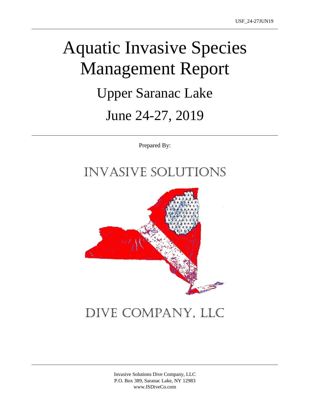# Aquatic Invasive Species Management Report Upper Saranac Lake June 24-27, 2019

Prepared By:

## Invasive Solutions



# Dive Company, LLC

Invasive Solutions Dive Company, LLC P.O. Box 389, Saranac Lake, NY 12983 www.ISDiveCo.com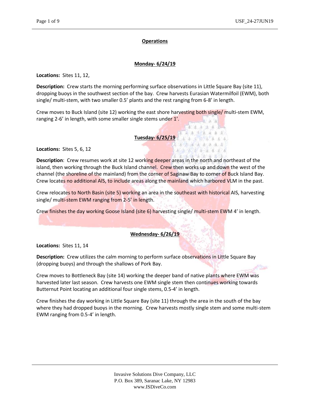#### **Operations**

#### **Monday- 6/24/19**

**Locations:** Sites 11, 12,

**Description:** Crew starts the morning performing surface observations in Little Square Bay (site 11), dropping buoys in the southwest section of the bay. Crew harvests Eurasian Watermilfoil (EWM), both single/ multi-stem, with two smaller 0.5' plants and the rest ranging from 6-8' in length.

Crew moves to Buck Island (site 12) working the east shore harvesting both single/ multi-stem EWM, ranging 2-6' in length, with some smaller single stems under 1'.

#### **Tuesday- 6/25/19**

去来这本土地

**Locations:** Sites 5, 6, 12

**Description**: Crew resumes work at site 12 working deeper areas in the north and northeast of the island, then working through the Buck Island channel. Crew then works up and down the west of the channel (the shoreline of the mainland) from the corner of Saginaw Bay to corner of Buck Island Bay. Crew locates no additional AIS, to include areas along the mainland which harbored VLM in the past.

Crew relocates to North Basin (site 5) working an area in the southeast with historical AIS, harvesting single/ multi-stem EWM ranging from 2-5' in length.

Crew finishes the day working Goose Island (site 6) harvesting single/ multi-stem EWM 4' in length.

#### **Wednesday- 6/26/19**

**Locations:** Sites 11, 14

**Description:** Crew utilizes the calm morning to perform surface observations in Little Square Bay (dropping buoys) and through the shallows of Pork Bay.

Crew moves to Bottleneck Bay (site 14) working the deeper band of native plants where EWM was harvested later last season. Crew harvests one EWM single stem then continues working towards Butternut Point locating an additional four single stems, 0.5-4' in length.

Crew finishes the day working in Little Square Bay (site 11) through the area in the south of the bay where they had dropped buoys in the morning. Crew harvests mostly single stem and some multi-stem EWM ranging from 0.5-4' in length.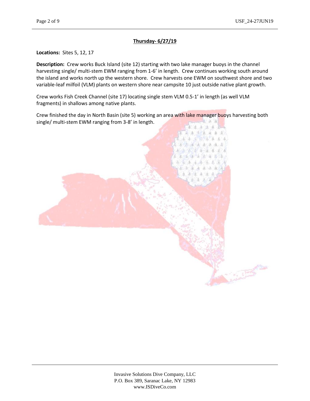#### **Thursday- 6/27/19**

**Locations:** Sites 5, 12, 17

**Description:** Crew works Buck Island (site 12) starting with two lake manager buoys in the channel harvesting single/ multi-stem EWM ranging from 1-6' in length. Crew continues working south around the island and works north up the western shore. Crew harvests one EWM on southwest shore and two variable-leaf milfoil (VLM) plants on western shore near campsite 10 just outside native plant growth.

Crew works Fish Creek Channel (site 17) locating single stem VLM 0.5-1' in length (as well VLM fragments) in shallows among native plants.

Crew finished the day in North Basin (site 5) working an area with lake manager buoys harvesting both single/ multi-stem EWM ranging from 3-8' in length.

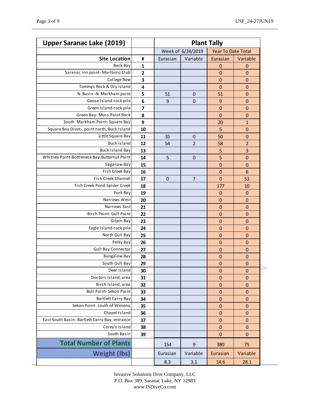| <b>Upper Saranac Lake (2019)</b>               |                         | <b>Plant Tally</b> |                |                           |                  |
|------------------------------------------------|-------------------------|--------------------|----------------|---------------------------|------------------|
|                                                |                         | Week of 6/24/2019  |                | <b>Year To Date Total</b> |                  |
| <b>Site Location</b>                           | #                       | Eurasian           | Variable       | Eurasian                  | Variable         |
| Back Bay                                       | 1                       |                    |                | $\mathbf 0$               | $\mathbf 0$      |
| Saranac Inn point-Marlboro Club                | $\overline{\mathbf{c}}$ |                    |                | 0                         | $\mathbf 0$      |
| College Row                                    | 3                       |                    |                | 0                         | $\mathbf 0$      |
| Tommys Rock & Dry Island                       | 4                       |                    |                | 0                         | $\mathbf 0$      |
| N. Basin -N. Markham point                     | 5                       | 51                 | $\mathbf 0$    | 51                        | $\mathbf 0$      |
| Goose Island-rock pile                         | 6                       | 9                  | $\mathbf 0$    | 9                         | $\mathbf 0$      |
| Green Island-rock pile                         | 7                       |                    |                | 0                         | 0                |
| Green Bay- Moss Point Rock                     | 8                       |                    |                | 0                         | $\mathbf 0$      |
| South Markham Point-Square Bay                 | 9                       |                    |                | 20                        | $\mathbf{1}$     |
| Square Bay Divot- point north, Buck Island     | 10                      |                    |                | 5                         | $\mathbf 0$      |
| Little Square Bay                              | 11                      | 35                 | $\mathbf 0$    | 50                        | $\mathbf 0$      |
| <b>Buck Island</b>                             | 12                      | 54                 | $\overline{2}$ | 58                        | $\overline{2}$   |
| <b>Buck Island Bay</b>                         | 13                      |                    |                | 5                         | 3                |
| Whitney Point-Bottleneck Bay-Butternut Point   | 14                      | 5                  | $\mathbf 0$    | 5                         | $\mathbf 0$      |
| Saganaw Bay                                    | 15                      |                    |                | $\mathbf 0$               | $\mathbf 0$      |
| Fish Creek Bay                                 | 16                      |                    |                | $\overline{0}$            | 6                |
| Fish Creek Channel                             | 17                      | $\mathbf 0$        | 7              | 0                         | 53               |
| Fish Creek Pond-Spider Creek                   | 18                      |                    |                | 177                       | 10               |
| Pork Bay                                       | 19                      |                    |                | $\mathbf 0$               | $\mathbf 0$      |
| Narrows West                                   | 20                      |                    |                | $\mathbf 0$               | $\mathbf 0$      |
| Narrows East                                   | 21                      |                    |                | $\mathbf 0$               | $\mathbf 0$      |
| Birch Point- Gull Point                        | 22                      |                    |                | 0                         | $\mathbf 0$      |
| Gilpin Bay                                     | 23                      |                    |                | 0                         | 0                |
| Eagle Island-rock pile                         | 24                      |                    |                | $\mathbf 0$               | $\mathbf 0$      |
| North Gull Bay                                 | 25                      |                    |                | $\overline{0}$            | $\mathbf 0$      |
| Pelky Bay                                      | 26                      |                    |                | $\mathbf 0$               | $\mathbf 0$      |
| <b>Gull Bay Connector</b>                      | 27                      |                    |                | $\mathbf 0$               | $\mathbf 0$      |
| <b>Bungalow Bay</b>                            | 28                      |                    |                | $\mathbf 0$               | $\mathbf 0$      |
| South Gull Bay                                 | 29                      |                    |                | $\pmb{0}$                 | $\pmb{0}$        |
| Deer Island                                    | 30                      |                    |                | 0                         | $\boldsymbol{0}$ |
| Doctors Island, area                           | 31                      |                    |                | $\mathbf 0$               | $\mathbf 0$      |
| Birch Island, area                             | 32                      |                    |                | $\mathbf 0$               | $\mathbf 0$      |
| Bull Point- Sekon Point                        | 33                      |                    |                | 0                         | $\mathbf 0$      |
| Bartlett Carry Bay                             | 34                      |                    |                | $\mathbf 0$               | $\mathbf 0$      |
| Sekon Point- south of Wenona                   | 35                      |                    |                | $\mathbf 0$               | 0                |
| Chapel Island                                  | 36                      |                    |                | $\mathbf 0$               | $\mathbf 0$      |
| East South Basin- Bartlett Carry Bay, entrance | 37                      |                    |                | $\mathbf 0$               | $\mathbf 0$      |
| Corey's Island                                 | 38                      |                    |                | $\mathbf 0$               | 0                |
| South Basin                                    | 39                      |                    |                | $\mathbf 0$               | $\mathbf 0$      |
| <b>Total Number of Plants</b>                  |                         | 154                | 9              | 380                       | 75               |
| <b>Weight (lbs)</b>                            |                         | Eurasian           | Variable       | Eurasian                  | Variable         |
|                                                |                         | 8.3                | 3.1            | 14.6                      | 28.1             |

Invasive Solutions Dive Company, LLC P.O. Box 389, Saranac Lake, NY 12983 www.ISDiveCo.com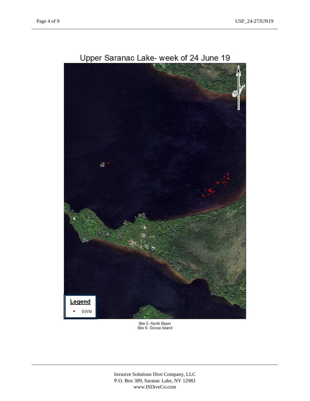

Site 5- North Basin<br>Site 6- Goose Island

Invasive Solutions Dive Company, LLC P.O. Box 389, Saranac Lake, NY 12983 www.ISDiveCo.com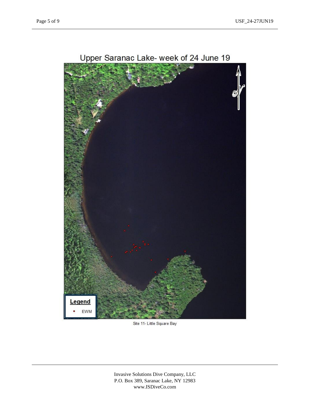

Site 11- Little Square Bay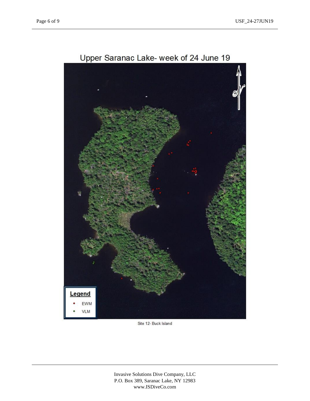

Site 12- Buck Island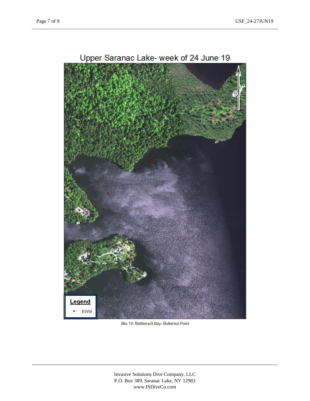

Site 14- Bottleneck Bay- Butternut Point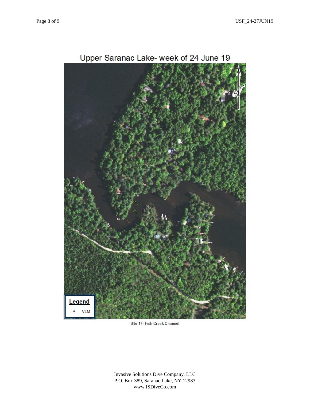

Site 17- Fish Creek Channel